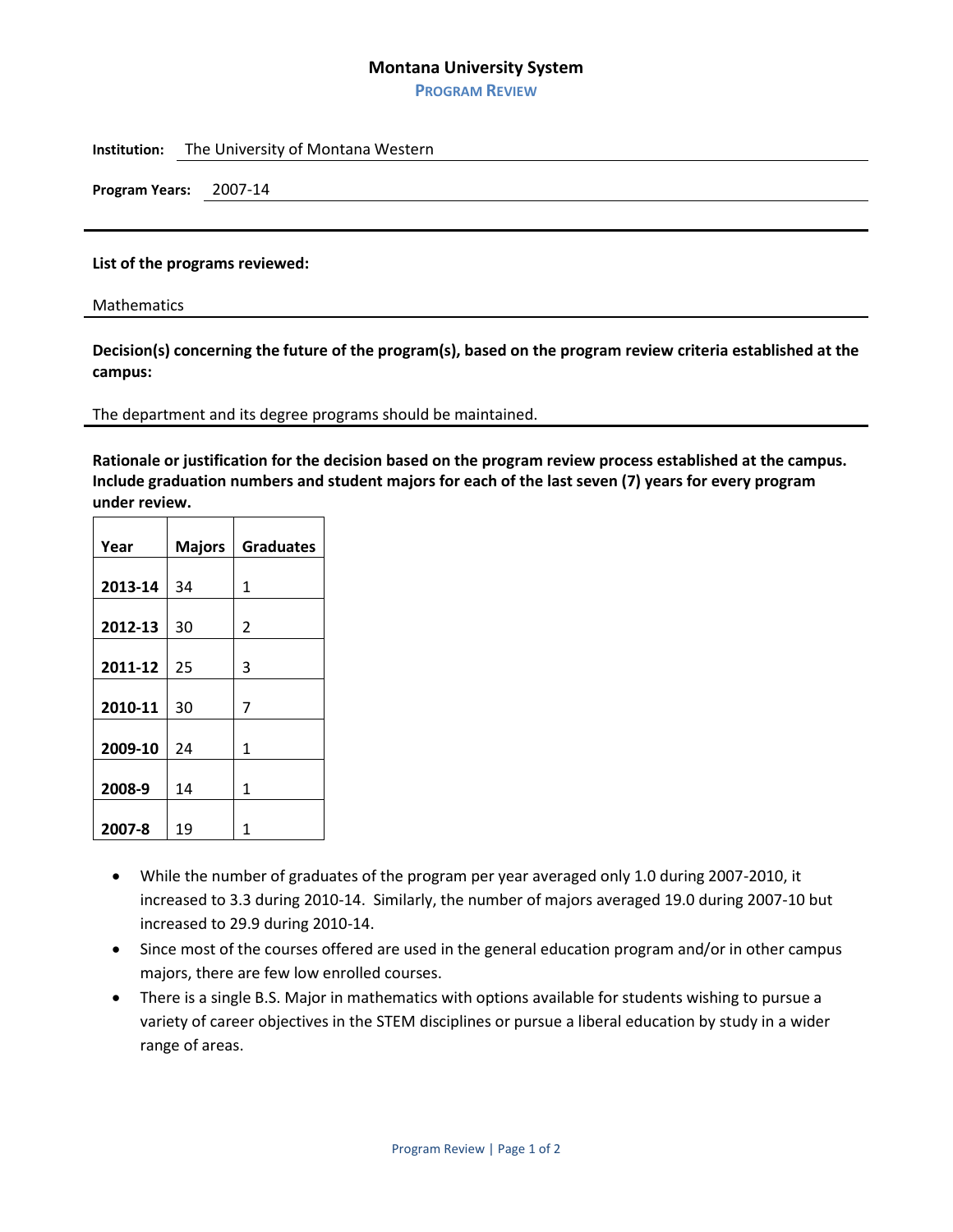## **Montana University System**

**PROGRAM REVIEW**

**Institution:** The University of Montana Western

**Program Years:** 2007-14

## **List of the programs reviewed:**

Mathematics

**Decision(s) concerning the future of the program(s), based on the program review criteria established at the campus:**

## The department and its degree programs should be maintained.

**Rationale or justification for the decision based on the program review process established at the campus. Include graduation numbers and student majors for each of the last seven (7) years for every program under review.**

| Year    | <b>Majors</b> | <b>Graduates</b> |
|---------|---------------|------------------|
|         |               |                  |
| 2013-14 | 34            | 1                |
|         |               |                  |
| 2012-13 | 30            | 2                |
|         |               |                  |
| 2011-12 | 25            | 3                |
|         |               |                  |
| 2010-11 | 30            | 7                |
|         |               |                  |
| 2009-10 | 24            | 1                |
|         |               |                  |
| 2008-9  | 14            | 1                |
|         |               |                  |
| 2007-8  | 19            | 1                |

- While the number of graduates of the program per year averaged only 1.0 during 2007-2010, it increased to 3.3 during 2010-14. Similarly, the number of majors averaged 19.0 during 2007-10 but increased to 29.9 during 2010-14.
- Since most of the courses offered are used in the general education program and/or in other campus majors, there are few low enrolled courses.
- There is a single B.S. Major in mathematics with options available for students wishing to pursue a variety of career objectives in the STEM disciplines or pursue a liberal education by study in a wider range of areas.